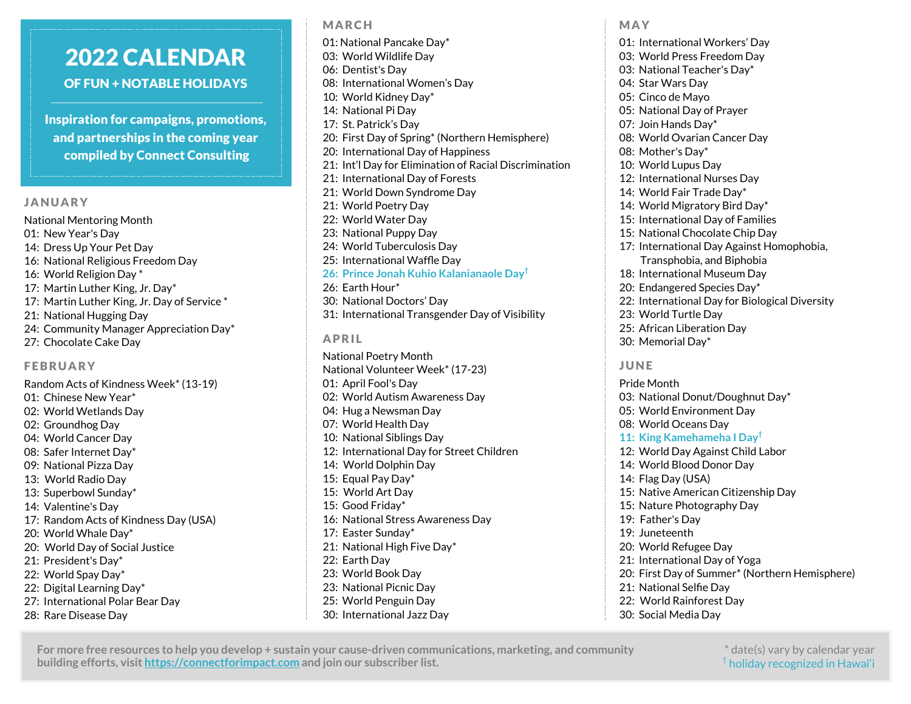# 2022 CALENDAR OF FUN + NOTABLE HOLIDAYS

Inspiration for campaigns, promotions, and partnerships in the coming year compiled by Connect Consulting

### JANUARY

National Mentoring Month 01: New Year's Day 14: Dress Up Your Pet Day 16: National Religious Freedom Day 16: World Religion Day \* 17: Martin Luther King, Jr. Day\* 17: Martin Luther King, Jr. Day of Service \* 21: National Hugging Day 24: Community Manager Appreciation Day\* 27: Chocolate Cake Day

## FEBRUARY

Random Acts of Kindness Week\* (13-19) 01: Chinese New Year\* 02: World Wetlands Day 02: Groundhog Day 04: World Cancer Day 08: Safer Internet Day\* 09: National Pizza Day 13: World Radio Day 13: Superbowl Sunday\* 14: Valentine's Day 17: Random Acts of Kindness Day (USA) 20: World Whale Day\* 20: World Day of Social Justice 21: President's Day\* 22: World Spay Day\* 22: Digital Learning Day\* 27: International Polar Bear Day 28: Rare Disease Day

## MARCH

01: National Pancake Day\* 03: World Wildlife Day 06: Dentist's Day 08: International Women's Day 10: World Kidney Day\* 14: National Pi Day 17: St. Patrick's Day 20: First Day of Spring\* (Northern Hemisphere) 20: International Day of Happiness 21: Int'l Day for Elimination of Racial Discrimination 21: International Day of Forests 21: World Down Syndrome Day 21: World Poetry Day 22: World Water Day 23: National Puppy Day 24: World Tuberculosis Day 25: International Waffle Day **26: Prince Jonah Kuhio Kalanianaole Day†** 26: Earth Hour\* 30: National Doctors' Day 31: International Transgender Day of Visibility APRIL

National Poetry Month National Volunteer Week\* (17-23) 01: April Fool's Day 02: World Autism Awareness Day 04: Hug a Newsman Day 07: World Health Day 10: National Siblings Day 12: International Day for Street Children 14: World Dolphin Day 15: Equal Pay Day\* 15: World Art Day 15: Good Friday\* 16: National Stress Awareness Day 17: Easter Sunday\* 21: National High Five Day\* 22: Earth Day 23: World Book Day 23: National Picnic Day 25: World Penguin Day 30: International Jazz Day

MAY

01: International Workers' Day 03: World Press Freedom Day 03: National Teacher's Day\* 04: Star Wars Day 05: Cinco de Mayo 05: National Day of Prayer 07: Join Hands Day\* 08: World Ovarian Cancer Day 08: Mother's Day\* 10: World Lupus Day 12: International Nurses Day 14: World Fair Trade Day\* 14: World Migratory Bird Day\* 15: International Day of Families 15: National Chocolate Chip Day 17: International Day Against Homophobia, Transphobia, and Biphobia 18: International Museum Day 20: Endangered Species Day\* 22: International Day for Biological Diversity 23: World Turtle Day 25: African Liberation Day 30: Memorial Day\* JUNE Pride Month 03: National Donut/Doughnut Day\* 05: World Environment Day 08: World Oceans Day **11: King Kamehameha I Day†** 12: World Day Against Child Labor 14: World Blood Donor Day 14: Flag Day (USA) 15: Native American Citizenship Day 15: Nature Photography Day 19: Father's Day 19: Juneteenth 20: World Refugee Day 21: International Day of Yoga 20: First Day of Summer\* (Northern Hemisphere)

- 21: National Selfie Day
- 22: World Rainforest Day
- 30: Social Media Day

**For more free resources to help you develop + sustain your cause-driven communications, marketing, and community building efforts, visit https://connectforimpact.com and join our subscriber list.**

\* date(s) vary by calendar year  $^{\dagger}$  holiday recognized in Hawai'i